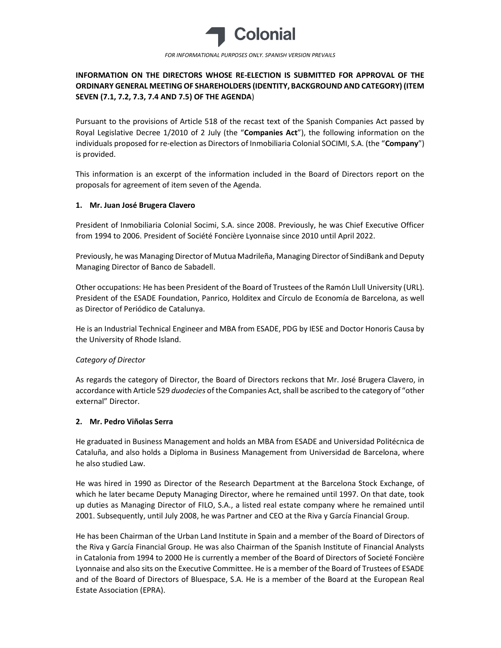

FOR INFORMATIONAL PURPOSES ONLY. SPANISH VERSION PREVAILS

# INFORMATION ON THE DIRECTORS WHOSE RE-ELECTION IS SUBMITTED FOR APPROVAL OF THE ORDINARY GENERAL MEETING OF SHAREHOLDERS (IDENTITY, BACKGROUND AND CATEGORY) (ITEM SEVEN (7.1, 7.2, 7.3, 7.4 AND 7.5) OF THE AGENDA)

Pursuant to the provisions of Article 518 of the recast text of the Spanish Companies Act passed by Royal Legislative Decree 1/2010 of 2 July (the "Companies Act"), the following information on the individuals proposed for re-election as Directors of Inmobiliaria Colonial SOCIMI, S.A. (the "Company") is provided.

This information is an excerpt of the information included in the Board of Directors report on the proposals for agreement of item seven of the Agenda.

## 1. Mr. Juan José Brugera Clavero

President of Inmobiliaria Colonial Socimi, S.A. since 2008. Previously, he was Chief Executive Officer from 1994 to 2006. President of Société Foncière Lyonnaise since 2010 until April 2022.

Previously, he was Managing Director of Mutua Madrileña, Managing Director of SindiBank and Deputy Managing Director of Banco de Sabadell.

Other occupations: He has been President of the Board of Trustees of the Ramón Llull University (URL). President of the ESADE Foundation, Panrico, Holditex and Círculo de Economía de Barcelona, as well as Director of Periódico de Catalunya.

He is an Industrial Technical Engineer and MBA from ESADE, PDG by IESE and Doctor Honoris Causa by the University of Rhode Island.

## Category of Director

As regards the category of Director, the Board of Directors reckons that Mr. José Brugera Clavero, in accordance with Article 529 duodecies of the Companies Act, shall be ascribed to the category of "other external" Director.

#### 2. Mr. Pedro Viñolas Serra

He graduated in Business Management and holds an MBA from ESADE and Universidad Politécnica de Cataluña, and also holds a Diploma in Business Management from Universidad de Barcelona, where he also studied Law.

He was hired in 1990 as Director of the Research Department at the Barcelona Stock Exchange, of which he later became Deputy Managing Director, where he remained until 1997. On that date, took up duties as Managing Director of FILO, S.A., a listed real estate company where he remained until 2001. Subsequently, until July 2008, he was Partner and CEO at the Riva y García Financial Group.

He has been Chairman of the Urban Land Institute in Spain and a member of the Board of Directors of the Riva y García Financial Group. He was also Chairman of the Spanish Institute of Financial Analysts in Catalonia from 1994 to 2000 He is currently a member of the Board of Directors of Societé Foncière Lyonnaise and also sits on the Executive Committee. He is a member of the Board of Trustees of ESADE and of the Board of Directors of Bluespace, S.A. He is a member of the Board at the European Real Estate Association (EPRA).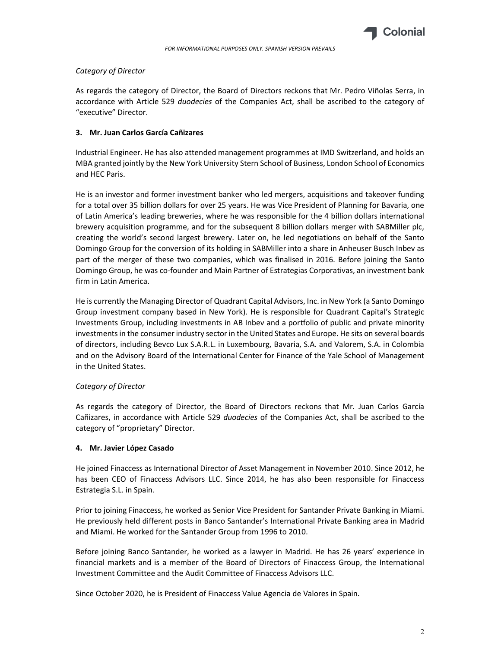

#### Category of Director

As regards the category of Director, the Board of Directors reckons that Mr. Pedro Viñolas Serra, in accordance with Article 529 duodecies of the Companies Act, shall be ascribed to the category of "executive" Director.

#### 3. Mr. Juan Carlos García Cañizares

Industrial Engineer. He has also attended management programmes at IMD Switzerland, and holds an MBA granted jointly by the New York University Stern School of Business, London School of Economics and HEC Paris.

He is an investor and former investment banker who led mergers, acquisitions and takeover funding for a total over 35 billion dollars for over 25 years. He was Vice President of Planning for Bavaria, one of Latin America's leading breweries, where he was responsible for the 4 billion dollars international brewery acquisition programme, and for the subsequent 8 billion dollars merger with SABMiller plc, creating the world's second largest brewery. Later on, he led negotiations on behalf of the Santo Domingo Group for the conversion of its holding in SABMiller into a share in Anheuser Busch Inbev as part of the merger of these two companies, which was finalised in 2016. Before joining the Santo Domingo Group, he was co-founder and Main Partner of Estrategias Corporativas, an investment bank firm in Latin America.

He is currently the Managing Director of Quadrant Capital Advisors, Inc. in New York (a Santo Domingo Group investment company based in New York). He is responsible for Quadrant Capital's Strategic Investments Group, including investments in AB Inbev and a portfolio of public and private minority investments in the consumer industry sector in the United States and Europe. He sits on several boards of directors, including Bevco Lux S.A.R.L. in Luxembourg, Bavaria, S.A. and Valorem, S.A. in Colombia and on the Advisory Board of the International Center for Finance of the Yale School of Management in the United States.

#### Category of Director

As regards the category of Director, the Board of Directors reckons that Mr. Juan Carlos García Cañizares, in accordance with Article 529 duodecies of the Companies Act, shall be ascribed to the category of "proprietary" Director.

#### 4. Mr. Javier López Casado

He joined Finaccess as International Director of Asset Management in November 2010. Since 2012, he has been CEO of Finaccess Advisors LLC. Since 2014, he has also been responsible for Finaccess Estrategia S.L. in Spain.

Prior to joining Finaccess, he worked as Senior Vice President for Santander Private Banking in Miami. He previously held different posts in Banco Santander's International Private Banking area in Madrid and Miami. He worked for the Santander Group from 1996 to 2010.

Before joining Banco Santander, he worked as a lawyer in Madrid. He has 26 years' experience in financial markets and is a member of the Board of Directors of Finaccess Group, the International Investment Committee and the Audit Committee of Finaccess Advisors LLC.

Since October 2020, he is President of Finaccess Value Agencia de Valores in Spain.